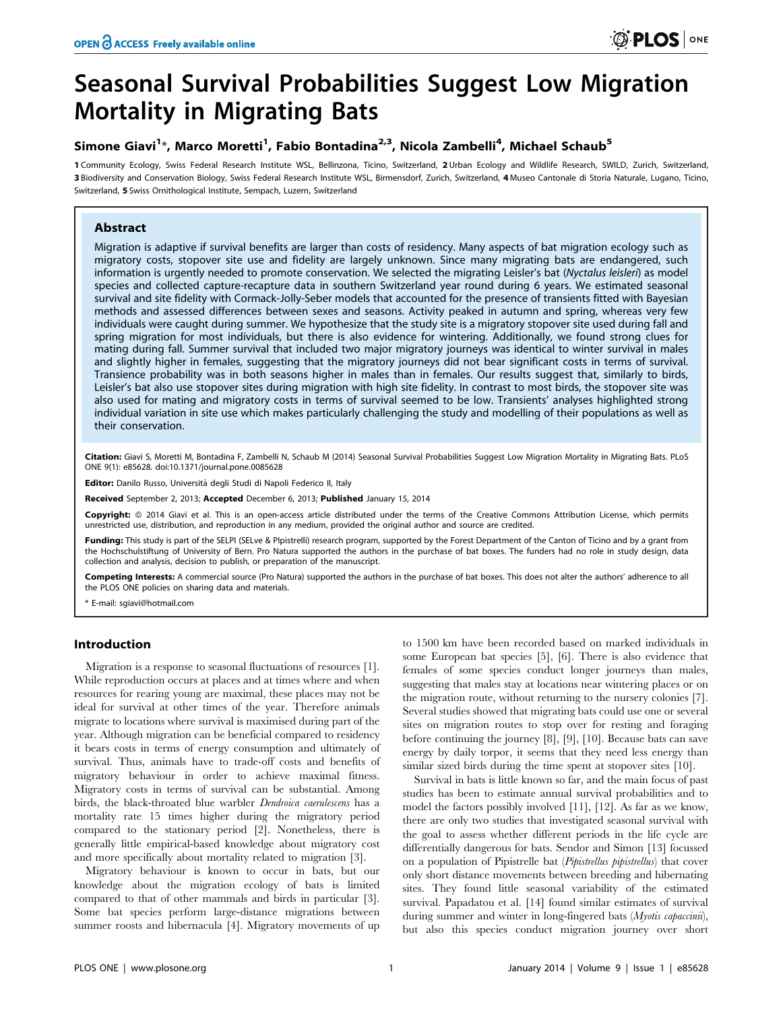# Seasonal Survival Probabilities Suggest Low Migration Mortality in Migrating Bats

## Simone Giavi<sup>1</sup>\*, Marco Moretti<sup>1</sup>, Fabio Bontadina<sup>2,3</sup>, Nicola Zambelli<sup>4</sup>, Michael Schaub<sup>5</sup>

1 Community Ecology, Swiss Federal Research Institute WSL, Bellinzona, Ticino, Switzerland, 2 Urban Ecology and Wildlife Research, SWILD, Zurich, Switzerland, 3 Biodiversity and Conservation Biology, Swiss Federal Research Institute WSL, Birmensdorf, Zurich, Switzerland, 4 Museo Cantonale di Storia Naturale, Lugano, Ticino, Switzerland, 5 Swiss Ornithological Institute, Sempach, Luzern, Switzerland

## Abstract

Migration is adaptive if survival benefits are larger than costs of residency. Many aspects of bat migration ecology such as migratory costs, stopover site use and fidelity are largely unknown. Since many migrating bats are endangered, such information is urgently needed to promote conservation. We selected the migrating Leisler's bat (Nyctalus leisleri) as model species and collected capture-recapture data in southern Switzerland year round during 6 years. We estimated seasonal survival and site fidelity with Cormack-Jolly-Seber models that accounted for the presence of transients fitted with Bayesian methods and assessed differences between sexes and seasons. Activity peaked in autumn and spring, whereas very few individuals were caught during summer. We hypothesize that the study site is a migratory stopover site used during fall and spring migration for most individuals, but there is also evidence for wintering. Additionally, we found strong clues for mating during fall. Summer survival that included two major migratory journeys was identical to winter survival in males and slightly higher in females, suggesting that the migratory journeys did not bear significant costs in terms of survival. Transience probability was in both seasons higher in males than in females. Our results suggest that, similarly to birds, Leisler's bat also use stopover sites during migration with high site fidelity. In contrast to most birds, the stopover site was also used for mating and migratory costs in terms of survival seemed to be low. Transients' analyses highlighted strong individual variation in site use which makes particularly challenging the study and modelling of their populations as well as their conservation.

Citation: Giavi S, Moretti M, Bontadina F, Zambelli N, Schaub M (2014) Seasonal Survival Probabilities Suggest Low Migration Mortality in Migrating Bats. PLoS ONE 9(1): e85628. doi:10.1371/journal.pone.0085628

Editor: Danilo Russo, Università degli Studi di Napoli Federico II, Italy

Received September 2, 2013; Accepted December 6, 2013; Published January 15, 2014

Copyright: © 2014 Giavi et al. This is an open-access article distributed under the terms of the Creative Commons Attribution License, which permits estricted use, distribution, and reproduction in any medium, provided the original author and source are credited.

Funding: This study is part of the SELPI (SELve & PIpistrelli) research program, supported by the Forest Department of the Canton of Ticino and by a grant from the Hochschulstiftung of University of Bern. Pro Natura supported the authors in the purchase of bat boxes. The funders had no role in study design, data collection and analysis, decision to publish, or preparation of the manuscript.

Competing Interests: A commercial source (Pro Natura) supported the authors in the purchase of bat boxes. This does not alter the authors' adherence to all the PLOS ONE policies on sharing data and materials.

\* E-mail: sgiavi@hotmail.com

## Introduction

Migration is a response to seasonal fluctuations of resources [1]. While reproduction occurs at places and at times where and when resources for rearing young are maximal, these places may not be ideal for survival at other times of the year. Therefore animals migrate to locations where survival is maximised during part of the year. Although migration can be beneficial compared to residency it bears costs in terms of energy consumption and ultimately of survival. Thus, animals have to trade-off costs and benefits of migratory behaviour in order to achieve maximal fitness. Migratory costs in terms of survival can be substantial. Among birds, the black-throated blue warbler Dendroica caerulescens has a mortality rate 15 times higher during the migratory period compared to the stationary period [2]. Nonetheless, there is generally little empirical-based knowledge about migratory cost and more specifically about mortality related to migration [3].

Migratory behaviour is known to occur in bats, but our knowledge about the migration ecology of bats is limited compared to that of other mammals and birds in particular [3]. Some bat species perform large-distance migrations between summer roosts and hibernacula [4]. Migratory movements of up

to 1500 km have been recorded based on marked individuals in some European bat species [5], [6]. There is also evidence that females of some species conduct longer journeys than males, suggesting that males stay at locations near wintering places or on the migration route, without returning to the nursery colonies [7]. Several studies showed that migrating bats could use one or several sites on migration routes to stop over for resting and foraging before continuing the journey [8], [9], [10]. Because bats can save energy by daily torpor, it seems that they need less energy than similar sized birds during the time spent at stopover sites [10].

Survival in bats is little known so far, and the main focus of past studies has been to estimate annual survival probabilities and to model the factors possibly involved [11], [12]. As far as we know, there are only two studies that investigated seasonal survival with the goal to assess whether different periods in the life cycle are differentially dangerous for bats. Sendor and Simon [13] focussed on a population of Pipistrelle bat (Pipistrellus pipistrellus) that cover only short distance movements between breeding and hibernating sites. They found little seasonal variability of the estimated survival. Papadatou et al. [14] found similar estimates of survival during summer and winter in long-fingered bats (Myotis capaccinii), but also this species conduct migration journey over short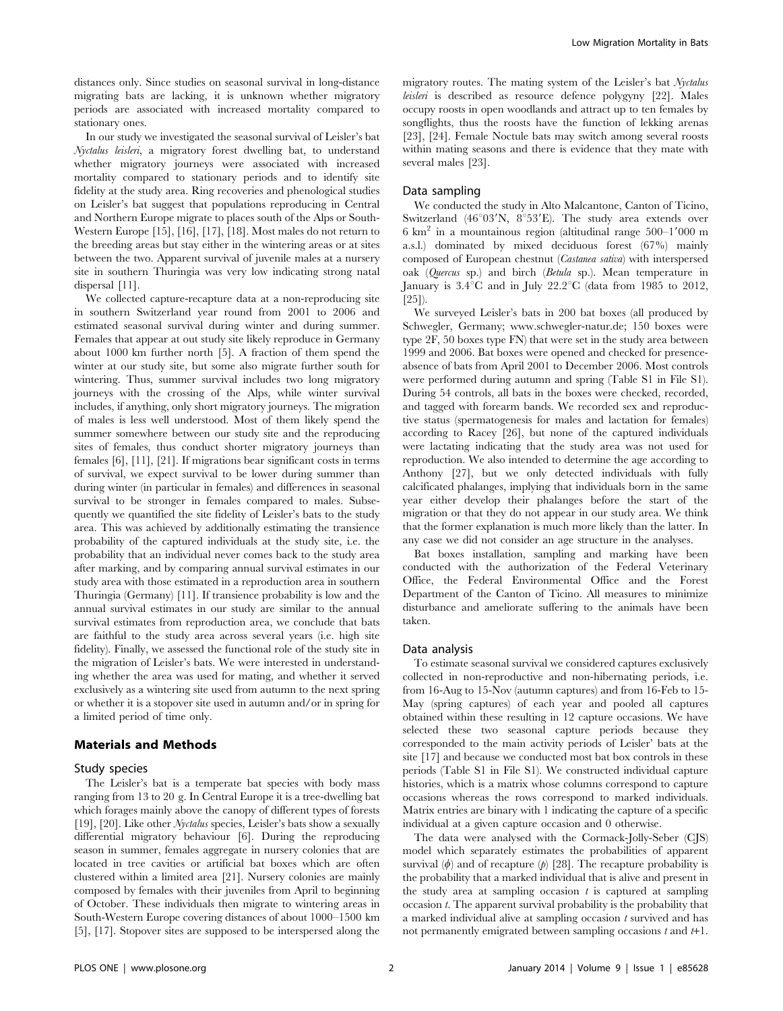distances only. Since studies on seasonal survival in long-distance migrating bats are lacking, it is unknown whether migratory periods are associated with increased mortality compared to stationary ones.

In our study we investigated the seasonal survival of Leisler's bat Nyctalus leisleri, a migratory forest dwelling bat, to understand whether migratory journeys were associated with increased mortality compared to stationary periods and to identify site fidelity at the study area. Ring recoveries and phenological studies on Leisler's bat suggest that populations reproducing in Central and Northern Europe migrate to places south of the Alps or South-Western Europe [15], [16], [17], [18]. Most males do not return to the breeding areas but stay either in the wintering areas or at sites between the two. Apparent survival of juvenile males at a nursery site in southern Thuringia was very low indicating strong natal dispersal [11].

We collected capture-recapture data at a non-reproducing site in southern Switzerland year round from 2001 to 2006 and estimated seasonal survival during winter and during summer. Females that appear at out study site likely reproduce in Germany about 1000 km further north [5]. A fraction of them spend the winter at our study site, but some also migrate further south for wintering. Thus, summer survival includes two long migratory journeys with the crossing of the Alps, while winter survival includes, if anything, only short migratory journeys. The migration of males is less well understood. Most of them likely spend the summer somewhere between our study site and the reproducing sites of females, thus conduct shorter migratory journeys than females [6], [11], [21]. If migrations bear significant costs in terms of survival, we expect survival to be lower during summer than during winter (in particular in females) and differences in seasonal survival to be stronger in females compared to males. Subsequently we quantified the site fidelity of Leisler's bats to the study area. This was achieved by additionally estimating the transience probability of the captured individuals at the study site, i.e. the probability that an individual never comes back to the study area after marking, and by comparing annual survival estimates in our study area with those estimated in a reproduction area in southern Thuringia (Germany) [11]. If transience probability is low and the annual survival estimates in our study are similar to the annual survival estimates from reproduction area, we conclude that bats are faithful to the study area across several years (i.e. high site fidelity). Finally, we assessed the functional role of the study site in the migration of Leisler's bats. We were interested in understanding whether the area was used for mating, and whether it served exclusively as a wintering site used from autumn to the next spring or whether it is a stopover site used in autumn and/or in spring for a limited period of time only.

## Materials and Methods

#### Study species

The Leisler's bat is a temperate bat species with body mass ranging from 13 to 20 g. In Central Europe it is a tree-dwelling bat which forages mainly above the canopy of different types of forests [19], [20]. Like other Nyctalus species, Leisler's bats show a sexually differential migratory behaviour [6]. During the reproducing season in summer, females aggregate in nursery colonies that are located in tree cavities or artificial bat boxes which are often clustered within a limited area [21]. Nursery colonies are mainly composed by females with their juveniles from April to beginning of October. These individuals then migrate to wintering areas in South-Western Europe covering distances of about 1000–1500 km [5], [17]. Stopover sites are supposed to be interspersed along the

migratory routes. The mating system of the Leisler's bat Nyctalus leisleri is described as resource defence polygyny [22]. Males occupy roosts in open woodlands and attract up to ten females by songflights, thus the roosts have the function of lekking arenas [23], [24]. Female Noctule bats may switch among several roosts within mating seasons and there is evidence that they mate with several males [23].

#### Data sampling

We conducted the study in Alto Malcantone, Canton of Ticino, Switzerland  $(46^{\circ}03'N, 8^{\circ}53'E)$ . The study area extends over 6 km<sup>2</sup> in a mountainous region (altitudinal range  $500-1'000$  m a.s.l.) dominated by mixed deciduous forest (67%) mainly composed of European chestnut (Castanea sativa) with interspersed oak (Quercus sp.) and birch (Betula sp.). Mean temperature in January is  $3.4^{\circ}$ C and in July  $22.2^{\circ}$ C (data from 1985 to 2012, [25]).

We surveyed Leisler's bats in 200 bat boxes (all produced by Schwegler, Germany; www.schwegler-natur.de; 150 boxes were type 2F, 50 boxes type FN) that were set in the study area between 1999 and 2006. Bat boxes were opened and checked for presenceabsence of bats from April 2001 to December 2006. Most controls were performed during autumn and spring (Table S1 in File S1). During 54 controls, all bats in the boxes were checked, recorded, and tagged with forearm bands. We recorded sex and reproductive status (spermatogenesis for males and lactation for females) according to Racey [26], but none of the captured individuals were lactating indicating that the study area was not used for reproduction. We also intended to determine the age according to Anthony [27], but we only detected individuals with fully calcificated phalanges, implying that individuals born in the same year either develop their phalanges before the start of the migration or that they do not appear in our study area. We think that the former explanation is much more likely than the latter. In any case we did not consider an age structure in the analyses.

Bat boxes installation, sampling and marking have been conducted with the authorization of the Federal Veterinary Office, the Federal Environmental Office and the Forest Department of the Canton of Ticino. All measures to minimize disturbance and ameliorate suffering to the animals have been taken.

#### Data analysis

To estimate seasonal survival we considered captures exclusively collected in non-reproductive and non-hibernating periods, i.e. from 16-Aug to 15-Nov (autumn captures) and from 16-Feb to 15- May (spring captures) of each year and pooled all captures obtained within these resulting in 12 capture occasions. We have selected these two seasonal capture periods because they corresponded to the main activity periods of Leisler' bats at the site [17] and because we conducted most bat box controls in these periods (Table S1 in File S1). We constructed individual capture histories, which is a matrix whose columns correspond to capture occasions whereas the rows correspond to marked individuals. Matrix entries are binary with 1 indicating the capture of a specific individual at a given capture occasion and 0 otherwise.

The data were analysed with the Cormack-Jolly-Seber (CJS) model which separately estimates the probabilities of apparent survival  $(\phi)$  and of recapture  $(\phi)$  [28]. The recapture probability is the probability that a marked individual that is alive and present in the study area at sampling occasion  $t$  is captured at sampling occasion t. The apparent survival probability is the probability that a marked individual alive at sampling occasion  $t$  survived and has not permanently emigrated between sampling occasions  $t$  and  $t+1$ .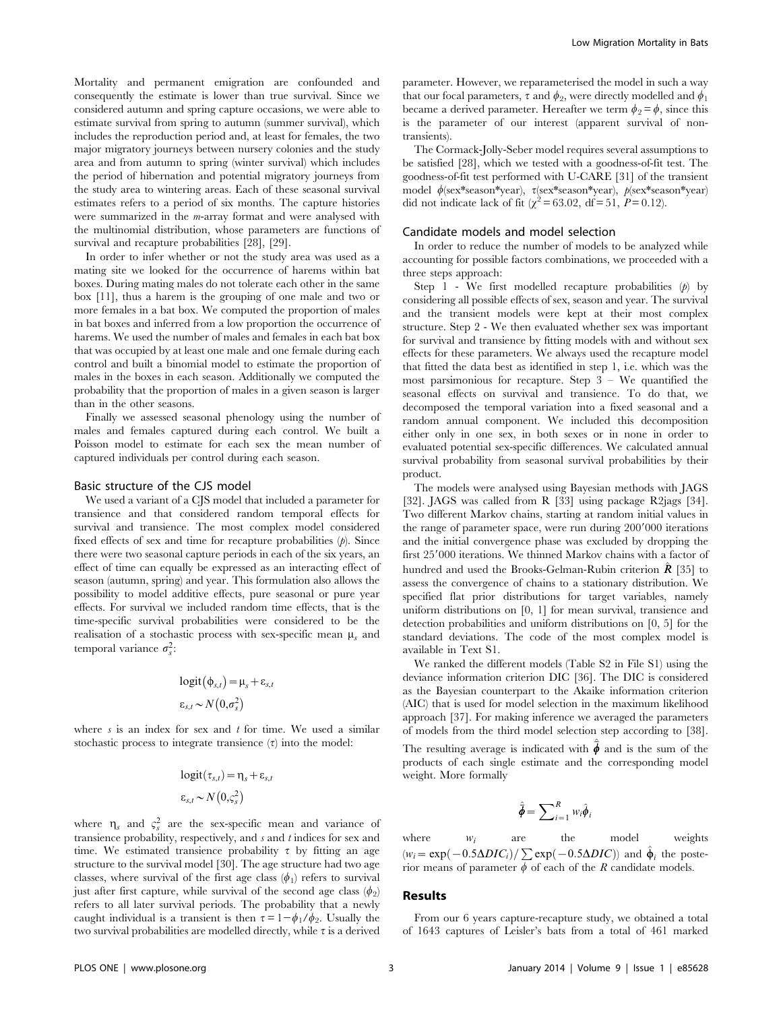Mortality and permanent emigration are confounded and consequently the estimate is lower than true survival. Since we considered autumn and spring capture occasions, we were able to estimate survival from spring to autumn (summer survival), which includes the reproduction period and, at least for females, the two major migratory journeys between nursery colonies and the study area and from autumn to spring (winter survival) which includes the period of hibernation and potential migratory journeys from the study area to wintering areas. Each of these seasonal survival estimates refers to a period of six months. The capture histories were summarized in the m-array format and were analysed with the multinomial distribution, whose parameters are functions of survival and recapture probabilities [28], [29].

In order to infer whether or not the study area was used as a mating site we looked for the occurrence of harems within bat boxes. During mating males do not tolerate each other in the same box [11], thus a harem is the grouping of one male and two or more females in a bat box. We computed the proportion of males in bat boxes and inferred from a low proportion the occurrence of harems. We used the number of males and females in each bat box that was occupied by at least one male and one female during each control and built a binomial model to estimate the proportion of males in the boxes in each season. Additionally we computed the probability that the proportion of males in a given season is larger than in the other seasons.

Finally we assessed seasonal phenology using the number of males and females captured during each control. We built a Poisson model to estimate for each sex the mean number of captured individuals per control during each season.

#### Basic structure of the CJS model

We used a variant of a CJS model that included a parameter for transience and that considered random temporal effects for survival and transience. The most complex model considered fixed effects of sex and time for recapture probabilities  $(p)$ . Since there were two seasonal capture periods in each of the six years, an effect of time can equally be expressed as an interacting effect of season (autumn, spring) and year. This formulation also allows the possibility to model additive effects, pure seasonal or pure year effects. For survival we included random time effects, that is the time-specific survival probabilities were considered to be the realisation of a stochastic process with sex-specific mean  $\mu_s$  and temporal variance  $\sigma_s^2$ :

$$
logit(\phi_{s,t}) = \mu_s + \varepsilon_{s,t}
$$

$$
\varepsilon_{s,t} \sim N(0, \sigma_s^2)
$$

where  $s$  is an index for sex and  $t$  for time. We used a similar stochastic process to integrate transience  $(\tau)$  into the model:

$$
logit(\tau_{s,t}) = \eta_s + \varepsilon_s
$$

$$
\varepsilon_{s,t} \sim N(0, \varsigma_s^2)
$$

where  $\eta_s$  and  $\varsigma_s^2$  are the sex-specific mean and variance of transience probability, respectively, and  $s$  and  $t$  indices for sex and time. We estimated transience probability  $\tau$  by fitting an age structure to the survival model [30]. The age structure had two age classes, where survival of the first age class  $(\phi_1)$  refers to survival just after first capture, while survival of the second age class  $(\phi_2)$ refers to all later survival periods. The probability that a newly caught individual is a transient is then  $\tau = 1 - \phi_1/\phi_2$ . Usually the two survival probabilities are modelled directly, while  $\tau$  is a derived parameter. However, we reparameterised the model in such a way that our focal parameters,  $\tau$  and  $\phi_2$ , were directly modelled and  $\phi_1$ became a derived parameter. Hereafter we term  $\phi_2 = \phi$ , since this is the parameter of our interest (apparent survival of nontransients).

The Cormack-Jolly-Seber model requires several assumptions to be satisfied [28], which we tested with a goodness-of-fit test. The goodness-of-fit test performed with U-CARE [31] of the transient model  $\phi$ (sex\*season\*year),  $\tau$ (sex\*season\*year),  $\rho$ (sex\*season\*year) did not indicate lack of fit ( $\chi^2$  = 63.02, df = 51, P = 0.12).

#### Candidate models and model selection

In order to reduce the number of models to be analyzed while accounting for possible factors combinations, we proceeded with a three steps approach:

Step 1 - We first modelled recapture probabilities  $(p)$  by considering all possible effects of sex, season and year. The survival and the transient models were kept at their most complex structure. Step 2 - We then evaluated whether sex was important for survival and transience by fitting models with and without sex effects for these parameters. We always used the recapture model that fitted the data best as identified in step 1, i.e. which was the most parsimonious for recapture. Step  $3 - We$  quantified the seasonal effects on survival and transience. To do that, we decomposed the temporal variation into a fixed seasonal and a random annual component. We included this decomposition either only in one sex, in both sexes or in none in order to evaluated potential sex-specific differences. We calculated annual survival probability from seasonal survival probabilities by their product.

The models were analysed using Bayesian methods with JAGS [32]. JAGS was called from R [33] using package R2jags [34]. Two different Markov chains, starting at random initial values in the range of parameter space, were run during 200'000 iterations and the initial convergence phase was excluded by dropping the first 25'000 iterations. We thinned Markov chains with a factor of hundred and used the Brooks-Gelman-Rubin criterion  $\hat{R}$  [35] to assess the convergence of chains to a stationary distribution. We specified flat prior distributions for target variables, namely uniform distributions on [0, 1] for mean survival, transience and detection probabilities and uniform distributions on [0, 5] for the standard deviations. The code of the most complex model is available in Text S1.

We ranked the different models (Table S2 in File S1) using the deviance information criterion DIC [36]. The DIC is considered as the Bayesian counterpart to the Akaike information criterion (AIC) that is used for model selection in the maximum likelihood approach [37]. For making inference we averaged the parameters of models from the third model selection step according to [38]. The resulting average is indicated with  $\hat{\phi}$  and is the sum of the products of each single estimate and the corresponding model weight. More formally

$$
\hat{\bar{\pmb{\phi}}} = \sum\nolimits_{i=1}^{R} w_i \hat{\pmb{\phi}}_i
$$

where  $w_i$  are the model weights  $(w_i = \exp(-0.5\Delta DIC_i) / \sum \exp(-0.5\Delta DIC)$  and  $\hat{\phi}_i$  the posterior means of parameter  $\phi$  of each of the R candidate models.

#### Results

From our 6 years capture-recapture study, we obtained a total of 1643 captures of Leisler's bats from a total of 461 marked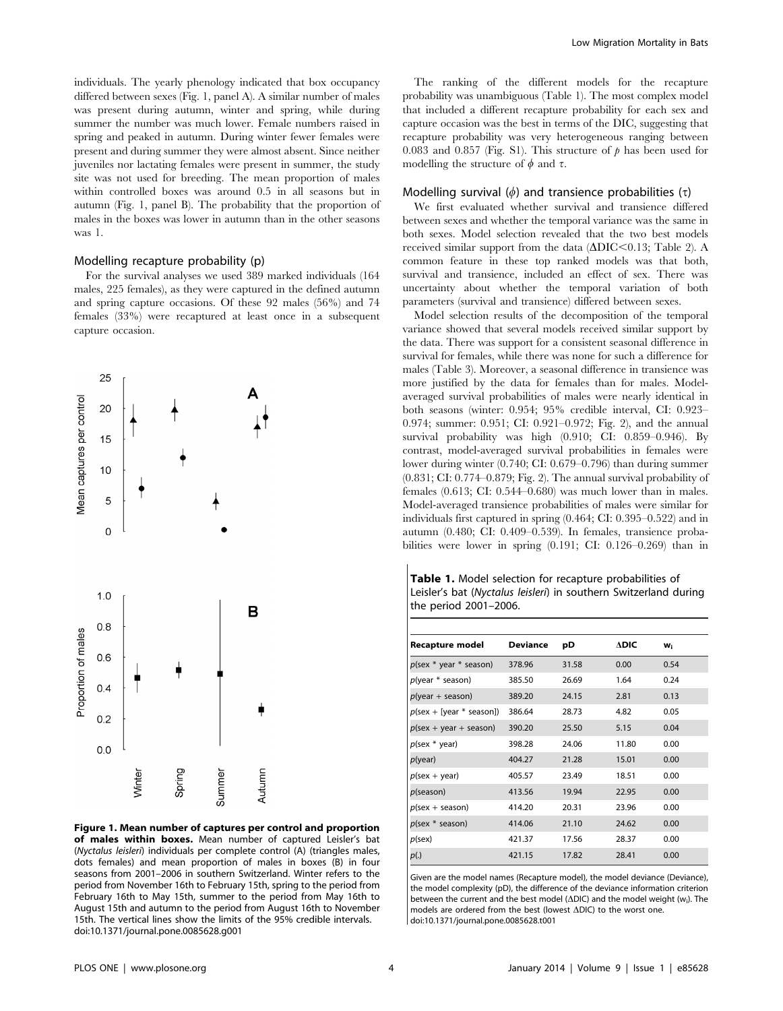individuals. The yearly phenology indicated that box occupancy differed between sexes (Fig. 1, panel A). A similar number of males was present during autumn, winter and spring, while during summer the number was much lower. Female numbers raised in spring and peaked in autumn. During winter fewer females were present and during summer they were almost absent. Since neither juveniles nor lactating females were present in summer, the study site was not used for breeding. The mean proportion of males within controlled boxes was around 0.5 in all seasons but in autumn (Fig. 1, panel B). The probability that the proportion of males in the boxes was lower in autumn than in the other seasons was 1.

#### Modelling recapture probability (p)

For the survival analyses we used 389 marked individuals (164 males, 225 females), as they were captured in the defined autumn and spring capture occasions. Of these 92 males (56%) and 74 females (33%) were recaptured at least once in a subsequent capture occasion.



Figure 1. Mean number of captures per control and proportion of males within boxes. Mean number of captured Leisler's bat (Nyctalus leisleri) individuals per complete control (A) (triangles males, dots females) and mean proportion of males in boxes (B) in four seasons from 2001–2006 in southern Switzerland. Winter refers to the period from November 16th to February 15th, spring to the period from February 16th to May 15th, summer to the period from May 16th to August 15th and autumn to the period from August 16th to November 15th. The vertical lines show the limits of the 95% credible intervals. doi:10.1371/journal.pone.0085628.g001

The ranking of the different models for the recapture probability was unambiguous (Table 1). The most complex model that included a different recapture probability for each sex and capture occasion was the best in terms of the DIC, suggesting that recapture probability was very heterogeneous ranging between 0.083 and 0.857 (Fig. S1). This structure of  $\beta$  has been used for modelling the structure of  $\phi$  and  $\tau$ .

#### Modelling survival ( $\phi$ ) and transience probabilities ( $\tau$ )

We first evaluated whether survival and transience differed between sexes and whether the temporal variance was the same in both sexes. Model selection revealed that the two best models received similar support from the data  $(\Delta\text{DIC}<0.13; \text{ Table 2}).$  A common feature in these top ranked models was that both, survival and transience, included an effect of sex. There was uncertainty about whether the temporal variation of both parameters (survival and transience) differed between sexes.

Model selection results of the decomposition of the temporal variance showed that several models received similar support by the data. There was support for a consistent seasonal difference in survival for females, while there was none for such a difference for males (Table 3). Moreover, a seasonal difference in transience was more justified by the data for females than for males. Modelaveraged survival probabilities of males were nearly identical in both seasons (winter: 0.954; 95% credible interval, CI: 0.923– 0.974; summer: 0.951; CI: 0.921–0.972; Fig. 2), and the annual survival probability was high (0.910; CI: 0.859–0.946). By contrast, model-averaged survival probabilities in females were lower during winter (0.740; CI: 0.679–0.796) than during summer (0.831; CI: 0.774–0.879; Fig. 2). The annual survival probability of females (0.613; CI: 0.544–0.680) was much lower than in males. Model-averaged transience probabilities of males were similar for individuals first captured in spring (0.464; CI: 0.395–0.522) and in autumn (0.480; CI: 0.409–0.539). In females, transience probabilities were lower in spring (0.191; CI: 0.126–0.269) than in

Table 1. Model selection for recapture probabilities of Leisler's bat (Nyctalus leisleri) in southern Switzerland during the period 2001–2006.

| <b>Recapture model</b>      | <b>Deviance</b> | рD    | ΔDIC  | w,   |
|-----------------------------|-----------------|-------|-------|------|
| p(sex * year * season)      | 378.96          | 31.58 | 0.00  | 0.54 |
| p(year * season)            | 385.50          | 26.69 | 1.64  | 0.24 |
| p(year + season)            | 389.20          | 24.15 | 2.81  | 0.13 |
| $p$ (sex + [year * season]) | 386.64          | 28.73 | 4.82  | 0.05 |
| $p$ (sex + year + season)   | 390.20          | 25.50 | 5.15  | 0.04 |
| $p$ (sex $*$ year)          | 398.28          | 24.06 | 11.80 | 0.00 |
| <i>p</i> (year)             | 404.27          | 21.28 | 15.01 | 0.00 |
| $p$ (sex + year)            | 405.57          | 23.49 | 18.51 | 0.00 |
| <i>p</i> (season)           | 413.56          | 19.94 | 22.95 | 0.00 |
| $p$ (sex + season)          | 414.20          | 20.31 | 23.96 | 0.00 |
| p(sex * season)             | 414.06          | 21.10 | 24.62 | 0.00 |
| $p$ (sex)                   | 421.37          | 17.56 | 28.37 | 0.00 |
| p(.)                        | 421.15          | 17.82 | 28.41 | 0.00 |

Given are the model names (Recapture model), the model deviance (Deviance), the model complexity (pD), the difference of the deviance information criterion between the current and the best model ( $\Delta$ DIC) and the model weight (w<sub>i</sub>). The models are ordered from the best (lowest  $\Delta$ DIC) to the worst one. doi:10.1371/journal.pone.0085628.t001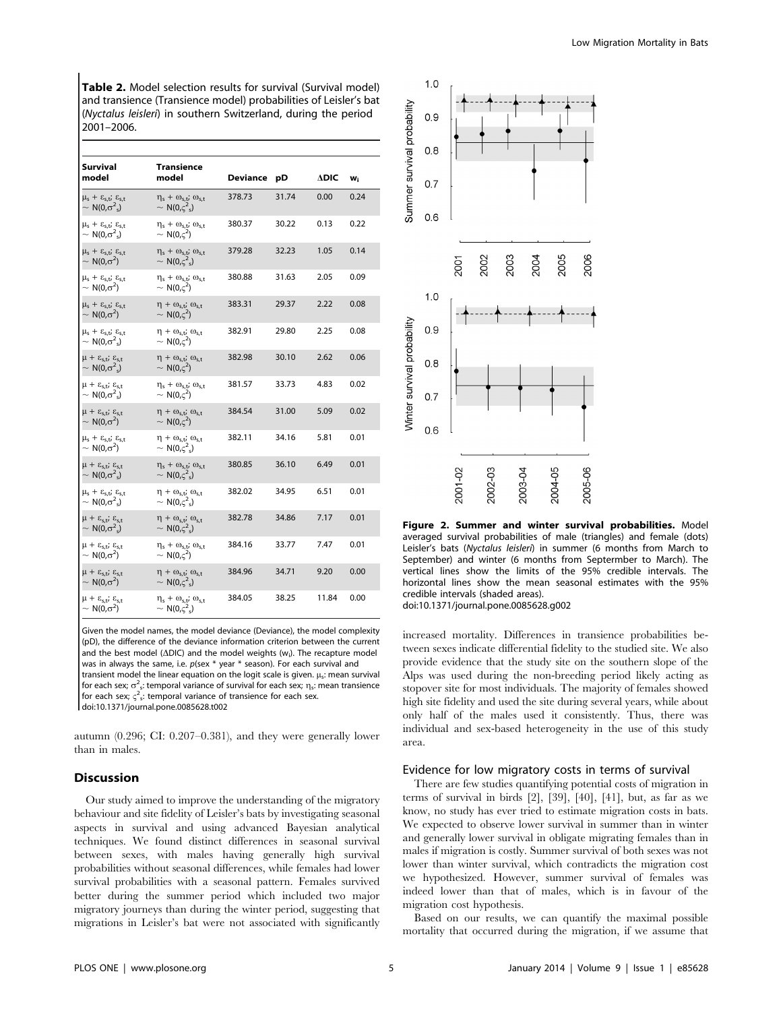Table 2. Model selection results for survival (Survival model) and transience (Transience model) probabilities of Leisler's bat (Nyctalus leisleri) in southern Switzerland, during the period 2001–2006.

| <b>Survival</b><br>model                                                  | <b>Transience</b><br>model                                                      | <b>Deviance</b> | рD    | ∆DIC  | w,   |
|---------------------------------------------------------------------------|---------------------------------------------------------------------------------|-----------------|-------|-------|------|
| $\mu_s + \varepsilon_{s,t}$ ; $\varepsilon_{s,t}$<br>$\sim N(0,\sigma^2)$ | $\eta_s + \omega_{s,t}$ ; $\omega_{s,t}$<br>$\sim N(0,\varsigma^2)$             | 378.73          | 31.74 | 0.00  | 0.24 |
| $\mu_s + \varepsilon_{s,t}$ ; $\varepsilon_{s,t}$<br>$\sim N(0,\sigma^2)$ | $\eta_s + \omega_{s,t}$ ; $\omega_{s,t}$<br>$\sim N(0, c^2)$                    | 380.37          | 30.22 | 0.13  | 0.22 |
| $\mu_s + \varepsilon_{s,t}$ ; $\varepsilon_{s,t}$<br>$\sim N(0,\sigma^2)$ | $\eta_s + \omega_{s,t}$ ; $\omega_{s,t}$<br>$\sim N(0,\varsigma^2)$             | 379.28          | 32.23 | 1.05  | 0.14 |
| $\mu_s + \varepsilon_{s,t}$ ; $\varepsilon_{s,t}$<br>$\sim N(0,\sigma^2)$ | $\eta_s + \omega_{s,t}$ ; $\omega_{s,t}$<br>$\sim N(0, c^2)$                    | 380.88          | 31.63 | 2.05  | 0.09 |
| $\mu_s + \varepsilon_{s,t}$ ; $\varepsilon_{s,t}$<br>$\sim N(0,\sigma^2)$ | $\eta + \omega_{s,t}$ ; $\omega_{s,t}$<br>$\sim N(0.c^2)$                       | 383.31          | 29.37 | 2.22  | 0.08 |
| $\mu_s + \varepsilon_{s,t}$ ; $\varepsilon_{s,t}$<br>$\sim N(0,\sigma^2)$ | $\eta + \omega_{s,t}$ ; $\omega_{s,t}$<br>$\sim N(0.c^2)$                       | 382.91          | 29.80 | 2.25  | 0.08 |
| $\mu + \varepsilon_{s,t}$ ; $\varepsilon_{s,t}$<br>$\sim N(0,\sigma^2)$   | $\eta + \omega_{s,t}$ ; $\omega_{s,t}$<br>$\sim N(0, c^2)$                      | 382.98          | 30.10 | 2.62  | 0.06 |
| $\mu + \varepsilon_{s,t}$ ; $\varepsilon_{s,t}$<br>$\sim N(0,\sigma^2)$   | $\eta_s + \omega_{s,t}$ ; $\omega_{s,t}$<br>$\sim N(0, c^2)$                    | 381.57          | 33.73 | 4.83  | 0.02 |
| $\mu + \varepsilon_{s,t}$ ; $\varepsilon_{s,t}$<br>$\sim N(0,\sigma^2)$   | $\eta + \omega_{s,t}$ ; $\omega_{s,t}$<br>$\sim N(0, c^2)$                      | 384.54          | 31.00 | 5.09  | 0.02 |
| $\mu_s + \varepsilon_{s,t}$ ; $\varepsilon_{s,t}$<br>$\sim N(0,\sigma^2)$ | $\eta + \omega_{s,t}$ ; $\omega_{s,t}$<br>$\sim N(0, c^2)$                      | 382.11          | 34.16 | 5.81  | 0.01 |
| $\mu + \varepsilon_{s,t}$ ; $\varepsilon_{s,t}$<br>$\sim N(0,\sigma^2)$   | $\eta_s + \omega_{s,t}$ ; $\omega_{s,t}$<br>$\sim N(0, c^2)$                    | 380.85          | 36.10 | 6.49  | 0.01 |
| $\mu_s + \varepsilon_{s,t}$ ; $\varepsilon_{s,t}$<br>$\sim N(0,\sigma^2)$ | $\eta + \omega_{s,t}$ ; $\omega_{s,t}$<br>$\sim N(0, c^2)$                      | 382.02          | 34.95 | 6.51  | 0.01 |
| $\mu + \varepsilon_{s,t}$ ; $\varepsilon_{s,t}$<br>$\sim N(0,\sigma^2)$   | $\eta + \omega_{s,t}$ ; $\omega_{s,t}$<br>$\sim N(0,\varsigma^2)$               | 382.78          | 34.86 | 7.17  | 0.01 |
| $\mu + \varepsilon_{s,t}$ ; $\varepsilon_{s,t}$<br>$\sim N(0,\sigma^2)$   | $\eta_s + \omega_{s,t}$ ; $\omega_{s,t}$<br>$\sim N(0, c^2)$                    | 384.16          | 33.77 | 7.47  | 0.01 |
| $\mu + \varepsilon_{s,t}$ ; $\varepsilon_{s,t}$<br>$\sim N(0,\sigma^2)$   | $\eta + \omega_{s,t}$ ; $\omega_{s,t}$<br>$\sim N(0,\varsigma^2)$               | 384.96          | 34.71 | 9.20  | 0.00 |
| $\mu + \varepsilon_{s,t}$ ; $\varepsilon_{s,t}$<br>$\sim N(0,\sigma^2)$   | $\eta_s + \omega_{s,t}$ ; $\omega_{s,t}$<br>~ N(0, $\varsigma^2$ <sub>s</sub> ) | 384.05          | 38.25 | 11.84 | 0.00 |

Given the model names, the model deviance (Deviance), the model complexity (pD), the difference of the deviance information criterion between the current and the best model ( $\Delta$ DIC) and the model weights (w<sub>i</sub>). The recapture model was in always the same, i.e. p(sex \* year \* season). For each survival and transient model the linear equation on the logit scale is given.  $\mu_s$ : mean survival for each sex;  $\sigma^2$ <sub>s</sub>: temporal variance of survival for each sex;  $\eta_s$ : mean transience for each sex;  $\varsigma^2$ <sub>s</sub>: temporal variance of transience for each sex. doi:10.1371/journal.pone.0085628.t002

autumn (0.296; CI: 0.207–0.381), and they were generally lower than in males.

#### **Discussion**

Our study aimed to improve the understanding of the migratory behaviour and site fidelity of Leisler's bats by investigating seasonal aspects in survival and using advanced Bayesian analytical techniques. We found distinct differences in seasonal survival between sexes, with males having generally high survival probabilities without seasonal differences, while females had lower survival probabilities with a seasonal pattern. Females survived better during the summer period which included two major migratory journeys than during the winter period, suggesting that migrations in Leisler's bat were not associated with significantly



Figure 2. Summer and winter survival probabilities. Model averaged survival probabilities of male (triangles) and female (dots) Leisler's bats (Nyctalus leisleri) in summer (6 months from March to September) and winter (6 months from Septermber to March). The vertical lines show the limits of the 95% credible intervals. The horizontal lines show the mean seasonal estimates with the 95% credible intervals (shaded areas). doi:10.1371/journal.pone.0085628.g002

increased mortality. Differences in transience probabilities between sexes indicate differential fidelity to the studied site. We also provide evidence that the study site on the southern slope of the Alps was used during the non-breeding period likely acting as stopover site for most individuals. The majority of females showed high site fidelity and used the site during several years, while about only half of the males used it consistently. Thus, there was individual and sex-based heterogeneity in the use of this study area.

#### Evidence for low migratory costs in terms of survival

There are few studies quantifying potential costs of migration in terms of survival in birds [2], [39], [40], [41], but, as far as we know, no study has ever tried to estimate migration costs in bats. We expected to observe lower survival in summer than in winter and generally lower survival in obligate migrating females than in males if migration is costly. Summer survival of both sexes was not lower than winter survival, which contradicts the migration cost we hypothesized. However, summer survival of females was indeed lower than that of males, which is in favour of the migration cost hypothesis.

Based on our results, we can quantify the maximal possible mortality that occurred during the migration, if we assume that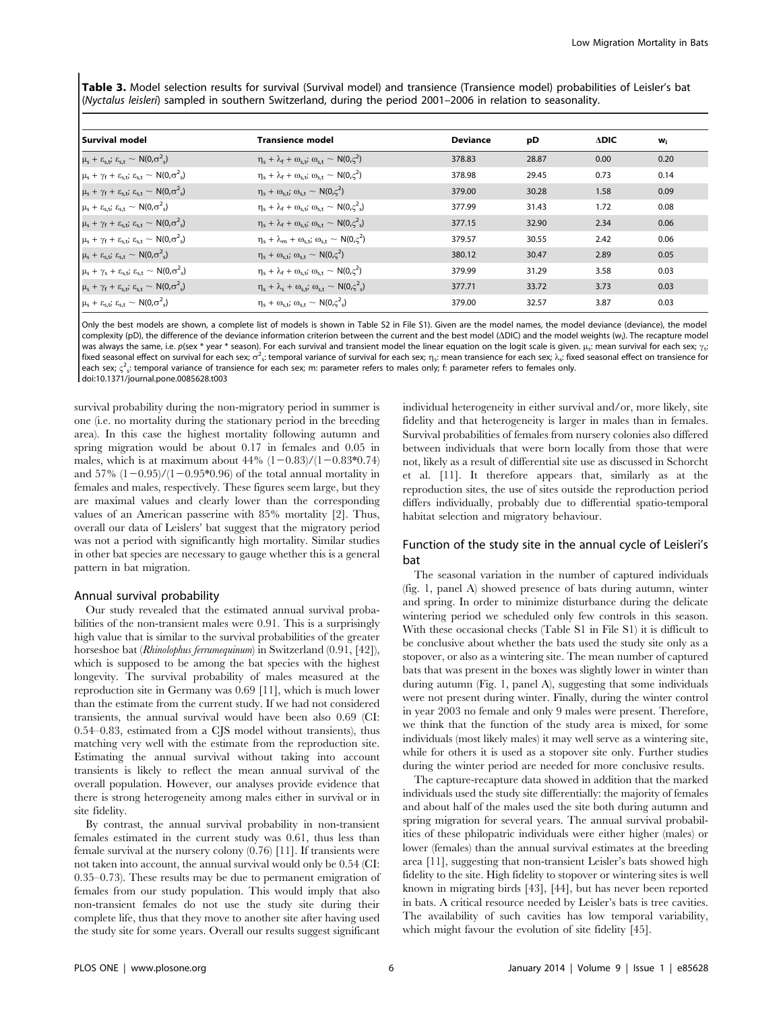Table 3. Model selection results for survival (Survival model) and transience (Transience model) probabilities of Leisler's bat (Nyctalus leisleri) sampled in southern Switzerland, during the period 2001–2006 in relation to seasonality.

| Survival model                                                                         | <b>Transience model</b>                                                      | <b>Deviance</b> | рD    | <b>ADIC</b> | w,   |
|----------------------------------------------------------------------------------------|------------------------------------------------------------------------------|-----------------|-------|-------------|------|
| $\mu_s + \varepsilon_{s,t}$ ; $\varepsilon_{s,t} \sim N(0, \sigma^2_s)$                | $\eta_s + \lambda_f + \omega_{s,t}$ ; $\omega_{s,t} \sim N(0,\varsigma^2)$   | 378.83          | 28.87 | 0.00        | 0.20 |
| $\mu_s + \gamma_f + \epsilon_{s,t} \!\!\!; \; \epsilon_{s,t} \sim N(0, \sigma^2_{s})$  | $\eta_s + \lambda_f + \omega_{s,t}$ ; $\omega_{s,t} \sim N(0,\varsigma^2)$   | 378.98          | 29.45 | 0.73        | 0.14 |
| $\mu_s + \gamma_f + \varepsilon_{s,t}$ ; $\varepsilon_{s,t} \sim N(0, \sigma^2_s)$     | $\eta_s + \omega_{s,t}$ ; $\omega_{s,t} \sim N(0,\varsigma^2)$               | 379.00          | 30.28 | 1.58        | 0.09 |
| $\mu_s + \varepsilon_{s,t}$ ; $\varepsilon_{s,t} \sim N(0, \sigma^2_s)$                | $\eta_s + \lambda_f + \omega_{s,t}$ ; $\omega_{s,t} \sim N(0,\varsigma^2_s)$ | 377.99          | 31.43 | 1.72        | 0.08 |
| $\mu_s + \gamma_f + \varepsilon_{s,t}$ ; $\varepsilon_{s,t} \sim N(0, \sigma^2_s)$     | $\eta_s + \lambda_f + \omega_{s,t}$ ; $\omega_{s,t} \sim N(0,\varsigma^2_s)$ | 377.15          | 32.90 | 2.34        | 0.06 |
| $\mu_s + \gamma_f + \varepsilon_{s,t}$ ; $\varepsilon_{s,t} \sim N(0, \sigma_s^2)$     | $\eta_s + \lambda_m + \omega_{s,t}$ ; $\omega_{s,t} \sim N(0,\varsigma^2)$   | 379.57          | 30.55 | 2.42        | 0.06 |
| $\mu_s + \varepsilon_{s,t}$ ; $\varepsilon_{s,t} \sim N(0, \sigma^2_s)$                | $\eta_s + \omega_{s,t}$ ; $\omega_{s,t} \sim N(0,\varsigma^2)$               | 380.12          | 30.47 | 2.89        | 0.05 |
| $\mu_s + \gamma_s + \epsilon_{s,t} \!\!\! , \; \epsilon_{s,t} \sim N(0, \sigma^2_{s})$ | $\eta_s + \lambda_f + \omega_{s,t}$ ; $\omega_{s,t} \sim N(0,\varsigma^2)$   | 379.99          | 31.29 | 3.58        | 0.03 |
| $\mu_s + \gamma_f + \varepsilon_{s,t}$ ; $\varepsilon_{s,t} \sim N(0, \sigma^2_s)$     | $\eta_s + \lambda_s + \omega_{s,t}$ ; $\omega_{s,t} \sim N(0, c^2)$          | 377.71          | 33.72 | 3.73        | 0.03 |
| $\mu_s + \varepsilon_{s,t}$ ; $\varepsilon_{s,t} \sim N(0, \sigma^2_s)$                | $\eta_s + \omega_{s,t}$ ; $\omega_{s,t} \sim N(0,\varsigma^2_s)$             | 379.00          | 32.57 | 3.87        | 0.03 |

Only the best models are shown, a complete list of models is shown in Table S2 in File S1). Given are the model names, the model deviance (deviance), the model  $\mathsf{complexity}$  (pD), the difference of the deviance information criterion between the current and the best model ( $\Delta\mathsf{DIC}$ ) and the model weights (w<sub>i</sub>). The recapture model was always the same, i.e. p(sex \* year \* season). For each survival and transient model the linear equation on the logit scale is given.  $\mu_s$ : mean survival for each sex;  $\gamma_s$ : fixed seasonal effect on survival for each sex;  $\sigma_s^2$ : temporal variance of survival for each sex;  $\eta_s$ : mean transience for each sex;  $\lambda_s$ : fixed seasonal effect on transience for each sex;  $\varsigma^2$ ; temporal variance of transience for each sex; m: parameter refers to males only; f: parameter refers to females only. doi:10.1371/journal.pone.0085628.t003

survival probability during the non-migratory period in summer is one (i.e. no mortality during the stationary period in the breeding area). In this case the highest mortality following autumn and spring migration would be about 0.17 in females and 0.05 in males, which is at maximum about  $44\%$   $(1-0.83)/(1-0.83*0.74)$ and  $57\%$   $(1-0.95)/(1-0.95*0.96)$  of the total annual mortality in females and males, respectively. These figures seem large, but they are maximal values and clearly lower than the corresponding values of an American passerine with 85% mortality [2]. Thus, overall our data of Leislers' bat suggest that the migratory period was not a period with significantly high mortality. Similar studies in other bat species are necessary to gauge whether this is a general pattern in bat migration.

## Annual survival probability

Our study revealed that the estimated annual survival probabilities of the non-transient males were 0.91. This is a surprisingly high value that is similar to the survival probabilities of the greater horseshoe bat (*Rhinolophus ferrumequinum*) in Switzerland (0.91, [42]), which is supposed to be among the bat species with the highest longevity. The survival probability of males measured at the reproduction site in Germany was 0.69 [11], which is much lower than the estimate from the current study. If we had not considered transients, the annual survival would have been also 0.69 (CI: 0.54–0.83, estimated from a CJS model without transients), thus matching very well with the estimate from the reproduction site. Estimating the annual survival without taking into account transients is likely to reflect the mean annual survival of the overall population. However, our analyses provide evidence that there is strong heterogeneity among males either in survival or in site fidelity.

By contrast, the annual survival probability in non-transient females estimated in the current study was 0.61, thus less than female survival at the nursery colony (0.76) [11]. If transients were not taken into account, the annual survival would only be 0.54 (CI: 0.35–0.73). These results may be due to permanent emigration of females from our study population. This would imply that also non-transient females do not use the study site during their complete life, thus that they move to another site after having used the study site for some years. Overall our results suggest significant individual heterogeneity in either survival and/or, more likely, site fidelity and that heterogeneity is larger in males than in females. Survival probabilities of females from nursery colonies also differed between individuals that were born locally from those that were not, likely as a result of differential site use as discussed in Schorcht et al. [11]. It therefore appears that, similarly as at the reproduction sites, the use of sites outside the reproduction period differs individually, probably due to differential spatio-temporal habitat selection and migratory behaviour.

## Function of the study site in the annual cycle of Leisleri's bat

The seasonal variation in the number of captured individuals (fig. 1, panel A) showed presence of bats during autumn, winter and spring. In order to minimize disturbance during the delicate wintering period we scheduled only few controls in this season. With these occasional checks (Table S1 in File S1) it is difficult to be conclusive about whether the bats used the study site only as a stopover, or also as a wintering site. The mean number of captured bats that was present in the boxes was slightly lower in winter than during autumn (Fig. 1, panel A), suggesting that some individuals were not present during winter. Finally, during the winter control in year 2003 no female and only 9 males were present. Therefore, we think that the function of the study area is mixed, for some individuals (most likely males) it may well serve as a wintering site, while for others it is used as a stopover site only. Further studies during the winter period are needed for more conclusive results.

The capture-recapture data showed in addition that the marked individuals used the study site differentially: the majority of females and about half of the males used the site both during autumn and spring migration for several years. The annual survival probabilities of these philopatric individuals were either higher (males) or lower (females) than the annual survival estimates at the breeding area [11], suggesting that non-transient Leisler's bats showed high fidelity to the site. High fidelity to stopover or wintering sites is well known in migrating birds [43], [44], but has never been reported in bats. A critical resource needed by Leisler's bats is tree cavities. The availability of such cavities has low temporal variability, which might favour the evolution of site fidelity [45].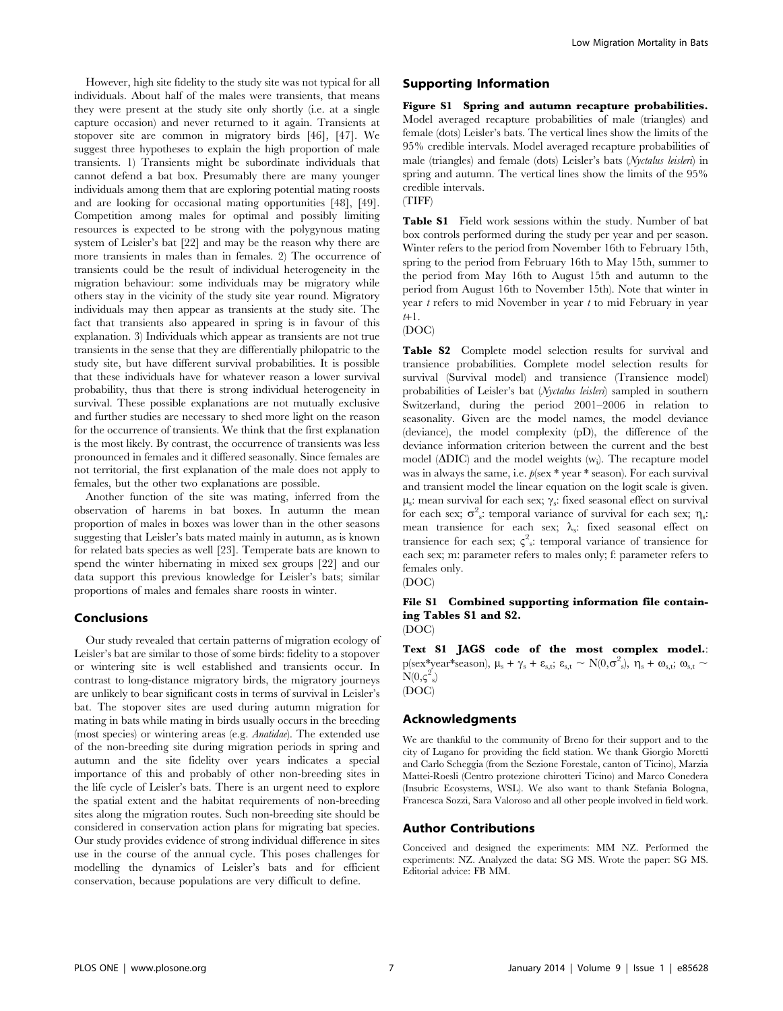However, high site fidelity to the study site was not typical for all individuals. About half of the males were transients, that means they were present at the study site only shortly (i.e. at a single capture occasion) and never returned to it again. Transients at stopover site are common in migratory birds [46], [47]. We suggest three hypotheses to explain the high proportion of male transients. 1) Transients might be subordinate individuals that cannot defend a bat box. Presumably there are many younger individuals among them that are exploring potential mating roosts and are looking for occasional mating opportunities [48], [49]. Competition among males for optimal and possibly limiting resources is expected to be strong with the polygynous mating system of Leisler's bat [22] and may be the reason why there are more transients in males than in females. 2) The occurrence of transients could be the result of individual heterogeneity in the migration behaviour: some individuals may be migratory while others stay in the vicinity of the study site year round. Migratory individuals may then appear as transients at the study site. The fact that transients also appeared in spring is in favour of this explanation. 3) Individuals which appear as transients are not true transients in the sense that they are differentially philopatric to the study site, but have different survival probabilities. It is possible that these individuals have for whatever reason a lower survival probability, thus that there is strong individual heterogeneity in survival. These possible explanations are not mutually exclusive and further studies are necessary to shed more light on the reason for the occurrence of transients. We think that the first explanation is the most likely. By contrast, the occurrence of transients was less pronounced in females and it differed seasonally. Since females are not territorial, the first explanation of the male does not apply to females, but the other two explanations are possible.

Another function of the site was mating, inferred from the observation of harems in bat boxes. In autumn the mean proportion of males in boxes was lower than in the other seasons suggesting that Leisler's bats mated mainly in autumn, as is known for related bats species as well [23]. Temperate bats are known to spend the winter hibernating in mixed sex groups [22] and our data support this previous knowledge for Leisler's bats; similar proportions of males and females share roosts in winter.

## Conclusions

Our study revealed that certain patterns of migration ecology of Leisler's bat are similar to those of some birds: fidelity to a stopover or wintering site is well established and transients occur. In contrast to long-distance migratory birds, the migratory journeys are unlikely to bear significant costs in terms of survival in Leisler's bat. The stopover sites are used during autumn migration for mating in bats while mating in birds usually occurs in the breeding (most species) or wintering areas (e.g. Anatidae). The extended use of the non-breeding site during migration periods in spring and autumn and the site fidelity over years indicates a special importance of this and probably of other non-breeding sites in the life cycle of Leisler's bats. There is an urgent need to explore the spatial extent and the habitat requirements of non-breeding sites along the migration routes. Such non-breeding site should be considered in conservation action plans for migrating bat species. Our study provides evidence of strong individual difference in sites use in the course of the annual cycle. This poses challenges for modelling the dynamics of Leisler's bats and for efficient conservation, because populations are very difficult to define.

#### Supporting Information

Figure S1 Spring and autumn recapture probabilities. Model averaged recapture probabilities of male (triangles) and female (dots) Leisler's bats. The vertical lines show the limits of the 95% credible intervals. Model averaged recapture probabilities of male (triangles) and female (dots) Leisler's bats (Nyctalus leisleri) in spring and autumn. The vertical lines show the limits of the 95% credible intervals. (TIFF)

Table S1 Field work sessions within the study. Number of bat box controls performed during the study per year and per season. Winter refers to the period from November 16th to February 15th, spring to the period from February 16th to May 15th, summer to the period from May 16th to August 15th and autumn to the period from August 16th to November 15th). Note that winter in year t refers to mid November in year t to mid February in year  $t+1$ .

## (DOC)

Table S2 Complete model selection results for survival and transience probabilities. Complete model selection results for survival (Survival model) and transience (Transience model) probabilities of Leisler's bat (Nyctalus leisleri) sampled in southern Switzerland, during the period 2001–2006 in relation to seasonality. Given are the model names, the model deviance (deviance), the model complexity (pD), the difference of the deviance information criterion between the current and the best model  $(\Delta DIC)$  and the model weights  $(w_i)$ . The recapture model was in always the same, i.e. p(sex \* year \* season). For each survival and transient model the linear equation on the logit scale is given.  $\mu_s$ : mean survival for each sex;  $\gamma_s$ : fixed seasonal effect on survival for each sex;  $\sigma^2$ <sub>s</sub>: temporal variance of survival for each sex;  $\eta_s$ : mean transience for each sex;  $\lambda$ <sub>s</sub>: fixed seasonal effect on transience for each sex;  $\zeta^2$  temporal variance of transience for each sex; m: parameter refers to males only; f: parameter refers to females only. (DOC)

## File S1 Combined supporting information file containing Tables S1 and S2. (DOC)

Text S1 JAGS code of the most complex model.: p(sex\*year\*season),  $\mu_s + \gamma_s + \varepsilon_{s,t}$ ;  $\varepsilon_{s,t} \sim N(0, \sigma^2_s)$ ,  $\bar{\eta}_s + \omega_{s,t}$ ;  $\omega_{s,t} \sim$  $N(0,\varsigma^2\overset{}{_{\rm s}})$ (DOC)

#### Acknowledgments

We are thankful to the community of Breno for their support and to the city of Lugano for providing the field station. We thank Giorgio Moretti and Carlo Scheggia (from the Sezione Forestale, canton of Ticino), Marzia Mattei-Roesli (Centro protezione chirotteri Ticino) and Marco Conedera (Insubric Ecosystems, WSL). We also want to thank Stefania Bologna, Francesca Sozzi, Sara Valoroso and all other people involved in field work.

## Author Contributions

Conceived and designed the experiments: MM NZ. Performed the experiments: NZ. Analyzed the data: SG MS. Wrote the paper: SG MS. Editorial advice: FB MM.